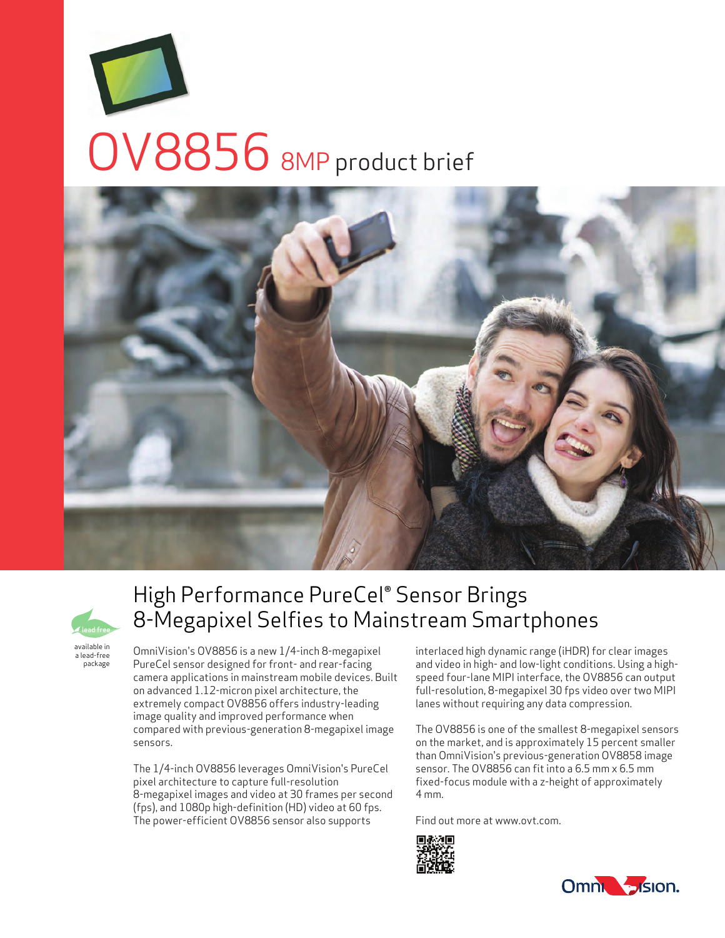





a lead-free package

# High Performance PureCel® Sensor Brings 8-Megapixel Selfies to Mainstream Smartphones

OmniVision's OV8856 is a new 1/4-inch 8-megapixel PureCel sensor designed for front- and rear-facing camera applications in mainstream mobile devices. Built on advanced 1.12-micron pixel architecture, the extremely compact OV8856 offers industry-leading image quality and improved performance when compared with previous-generation 8-megapixel image sensors.

The 1/4-inch OV8856 leverages OmniVision's PureCel pixel architecture to capture full-resolution 8-megapixel images and video at 30 frames per second (fps), and 1080p high-definition (HD) video at 60 fps. The power-efficient OV8856 sensor also supports

interlaced high dynamic range (iHDR) for clear images and video in high- and low-light conditions. Using a highspeed four-lane MIPI interface, the OV8856 can output full-resolution, 8-megapixel 30 fps video over two MIPI lanes without requiring any data compression.

The OV8856 is one of the smallest 8-megapixel sensors on the market, and is approximately 15 percent smaller than OmniVision's previous-generation OV8858 image sensor. The OV8856 can fit into a 6.5 mm x 6.5 mm fixed-focus module with a z-height of approximately 4 mm.

Find out more at www.ovt.com.